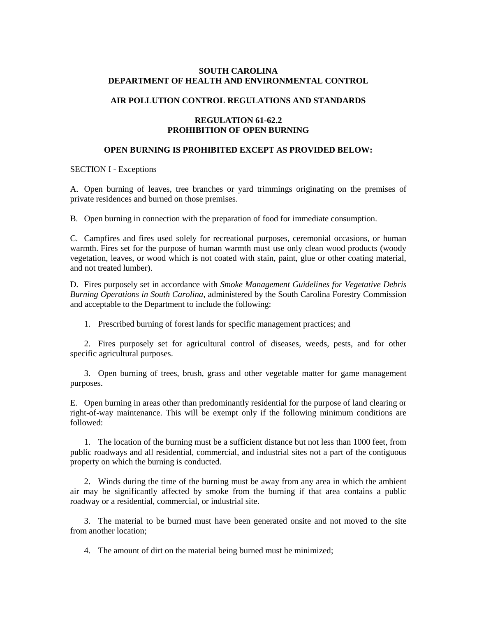## **SOUTH CAROLINA DEPARTMENT OF HEALTH AND ENVIRONMENTAL CONTROL**

# **AIR POLLUTION CONTROL REGULATIONS AND STANDARDS**

# **REGULATION 61-62.2 PROHIBITION OF OPEN BURNING**

# **OPEN BURNING IS PROHIBITED EXCEPT AS PROVIDED BELOW:**

### SECTION I - Exceptions

A. Open burning of leaves, tree branches or yard trimmings originating on the premises of private residences and burned on those premises.

B. Open burning in connection with the preparation of food for immediate consumption.

C. Campfires and fires used solely for recreational purposes, ceremonial occasions, or human warmth. Fires set for the purpose of human warmth must use only clean wood products (woody vegetation, leaves, or wood which is not coated with stain, paint, glue or other coating material, and not treated lumber).

D. Fires purposely set in accordance with *Smoke Management Guidelines for Vegetative Debris Burning Operations in South Carolina*, administered by the South Carolina Forestry Commission and acceptable to the Department to include the following:

1. Prescribed burning of forest lands for specific management practices; and

2. Fires purposely set for agricultural control of diseases, weeds, pests, and for other specific agricultural purposes.

3. Open burning of trees, brush, grass and other vegetable matter for game management purposes.

E. Open burning in areas other than predominantly residential for the purpose of land clearing or right-of-way maintenance. This will be exempt only if the following minimum conditions are followed:

1. The location of the burning must be a sufficient distance but not less than 1000 feet, from public roadways and all residential, commercial, and industrial sites not a part of the contiguous property on which the burning is conducted.

2. Winds during the time of the burning must be away from any area in which the ambient air may be significantly affected by smoke from the burning if that area contains a public roadway or a residential, commercial, or industrial site.

3. The material to be burned must have been generated onsite and not moved to the site from another location;

4. The amount of dirt on the material being burned must be minimized;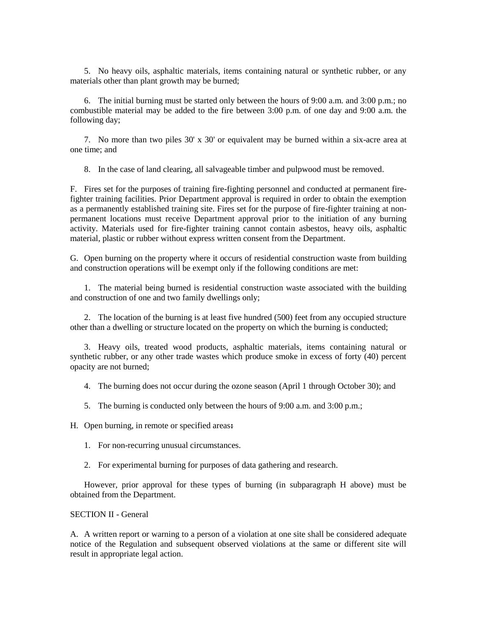5. No heavy oils, asphaltic materials, items containing natural or synthetic rubber, or any materials other than plant growth may be burned;

6. The initial burning must be started only between the hours of 9:00 a.m. and 3:00 p.m.; no combustible material may be added to the fire between 3:00 p.m. of one day and 9:00 a.m. the following day;

7. No more than two piles 30' x 30' or equivalent may be burned within a six-acre area at one time; and

8. In the case of land clearing, all salvageable timber and pulpwood must be removed.

F. Fires set for the purposes of training fire-fighting personnel and conducted at permanent firefighter training facilities. Prior Department approval is required in order to obtain the exemption as a permanently established training site. Fires set for the purpose of fire-fighter training at nonpermanent locations must receive Department approval prior to the initiation of any burning activity. Materials used for fire-fighter training cannot contain asbestos, heavy oils, asphaltic material, plastic or rubber without express written consent from the Department.

G. Open burning on the property where it occurs of residential construction waste from building and construction operations will be exempt only if the following conditions are met:

1. The material being burned is residential construction waste associated with the building and construction of one and two family dwellings only;

2. The location of the burning is at least five hundred (500) feet from any occupied structure other than a dwelling or structure located on the property on which the burning is conducted;

3. Heavy oils, treated wood products, asphaltic materials, items containing natural or synthetic rubber, or any other trade wastes which produce smoke in excess of forty (40) percent opacity are not burned;

- 4. The burning does not occur during the ozone season (April 1 through October 30); and
- 5. The burning is conducted only between the hours of 9:00 a.m. and 3:00 p.m.;

H. Open burning, in remote or specified areas**:**

- 1. For non-recurring unusual circumstances.
- 2. For experimental burning for purposes of data gathering and research.

However, prior approval for these types of burning (in subparagraph H above) must be obtained from the Department.

### SECTION II - General

A. A written report or warning to a person of a violation at one site shall be considered adequate notice of the Regulation and subsequent observed violations at the same or different site will result in appropriate legal action.